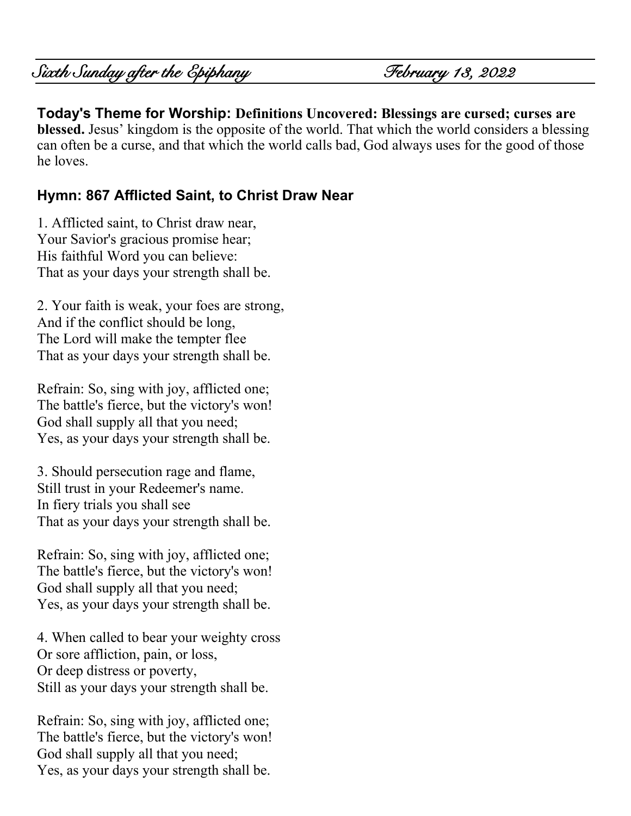# Sixth Sunday after the Epiphany February 13, 2022

**Today's Theme for Worship: Definitions Uncovered: Blessings are cursed; curses are blessed.** Jesus' kingdom is the opposite of the world. That which the world considers a blessing can often be a curse, and that which the world calls bad, God always uses for the good of those he loves.

#### **Hymn: 867 Afflicted Saint, to Christ Draw Near**

1. Afflicted saint, to Christ draw near, Your Savior's gracious promise hear; His faithful Word you can believe: That as your days your strength shall be.

2. Your faith is weak, your foes are strong, And if the conflict should be long, The Lord will make the tempter flee That as your days your strength shall be.

Refrain: So, sing with joy, afflicted one; The battle's fierce, but the victory's won! God shall supply all that you need; Yes, as your days your strength shall be.

3. Should persecution rage and flame, Still trust in your Redeemer's name. In fiery trials you shall see That as your days your strength shall be.

Refrain: So, sing with joy, afflicted one; The battle's fierce, but the victory's won! God shall supply all that you need; Yes, as your days your strength shall be.

4. When called to bear your weighty cross Or sore affliction, pain, or loss, Or deep distress or poverty, Still as your days your strength shall be.

Refrain: So, sing with joy, afflicted one; The battle's fierce, but the victory's won! God shall supply all that you need; Yes, as your days your strength shall be.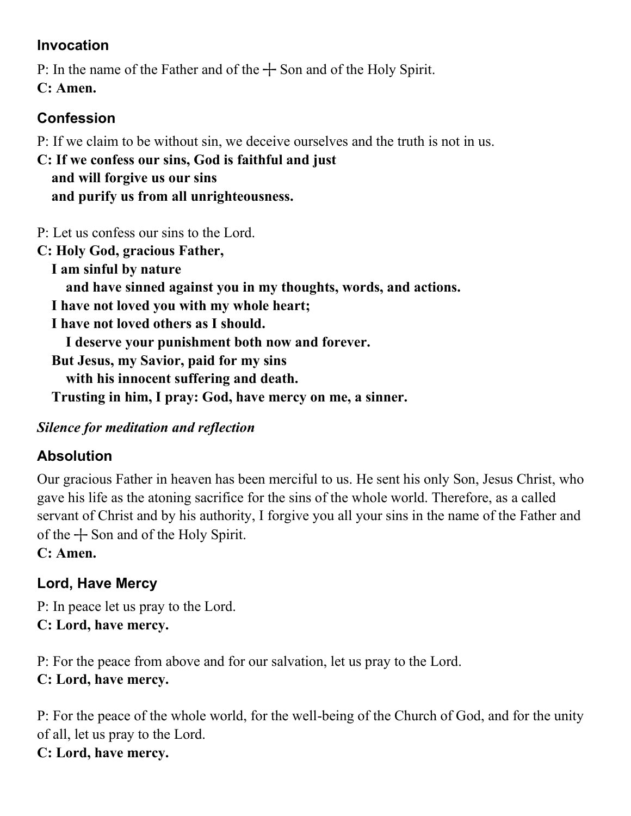### **Invocation**

P: In the name of the Father and of the  $+$  Son and of the Holy Spirit.

**C: Amen.**

# **Confession**

P: If we claim to be without sin, we deceive ourselves and the truth is not in us.

**C: If we confess our sins, God is faithful and just and will forgive us our sins and purify us from all unrighteousness.**

P: Let us confess our sins to the Lord.

**C: Holy God, gracious Father, I am sinful by nature and have sinned against you in my thoughts, words, and actions. I have not loved you with my whole heart; I have not loved others as I should. I deserve your punishment both now and forever. But Jesus, my Savior, paid for my sins with his innocent suffering and death.** 

 **Trusting in him, I pray: God, have mercy on me, a sinner.**

# *Silence for meditation and reflection*

# **Absolution**

Our gracious Father in heaven has been merciful to us. He sent his only Son, Jesus Christ, who gave his life as the atoning sacrifice for the sins of the whole world. Therefore, as a called servant of Christ and by his authority, I forgive you all your sins in the name of the Father and of the  $+$  Son and of the Holy Spirit.

**C: Amen.**

# **Lord, Have Mercy**

P: In peace let us pray to the Lord. **C: Lord, have mercy.**

P: For the peace from above and for our salvation, let us pray to the Lord. **C: Lord, have mercy.**

P: For the peace of the whole world, for the well-being of the Church of God, and for the unity of all, let us pray to the Lord. **C: Lord, have mercy.**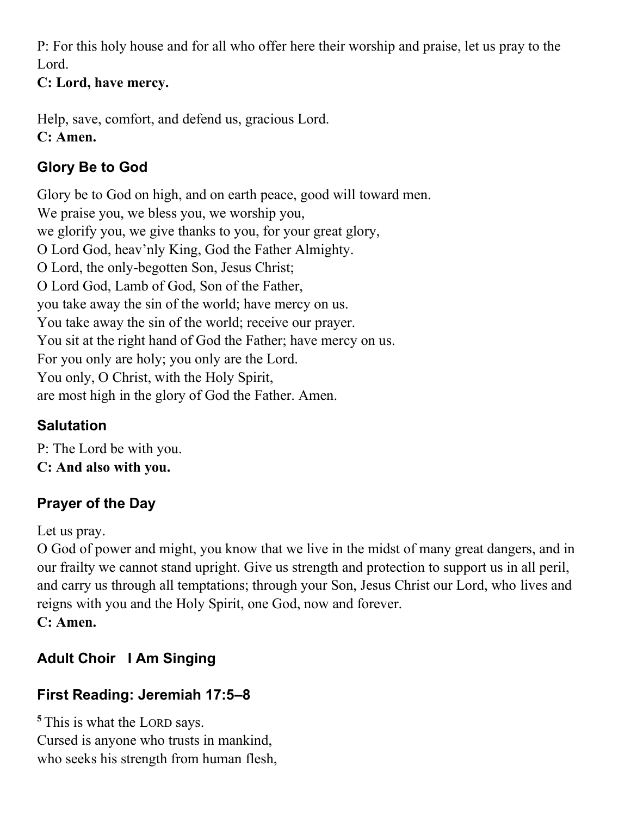P: For this holy house and for all who offer here their worship and praise, let us pray to the Lord.

#### **C: Lord, have mercy.**

Help, save, comfort, and defend us, gracious Lord. **C: Amen.**

# **Glory Be to God**

Glory be to God on high, and on earth peace, good will toward men. We praise you, we bless you, we worship you, we glorify you, we give thanks to you, for your great glory, O Lord God, heav'nly King, God the Father Almighty. O Lord, the only-begotten Son, Jesus Christ; O Lord God, Lamb of God, Son of the Father, you take away the sin of the world; have mercy on us. You take away the sin of the world; receive our prayer. You sit at the right hand of God the Father; have mercy on us. For you only are holy; you only are the Lord. You only, O Christ, with the Holy Spirit, are most high in the glory of God the Father. Amen.

# **Salutation**

P: The Lord be with you. **C: And also with you.**

# **Prayer of the Day**

Let us pray.

O God of power and might, you know that we live in the midst of many great dangers, and in our frailty we cannot stand upright. Give us strength and protection to support us in all peril, and carry us through all temptations; through your Son, Jesus Christ our Lord, who lives and reigns with you and the Holy Spirit, one God, now and forever. **C: Amen.**

# **Adult Choir I Am Singing**

# **First Reading: Jeremiah 17:5–8**

**<sup>5</sup>** This is what the LORD says. Cursed is anyone who trusts in mankind, who seeks his strength from human flesh,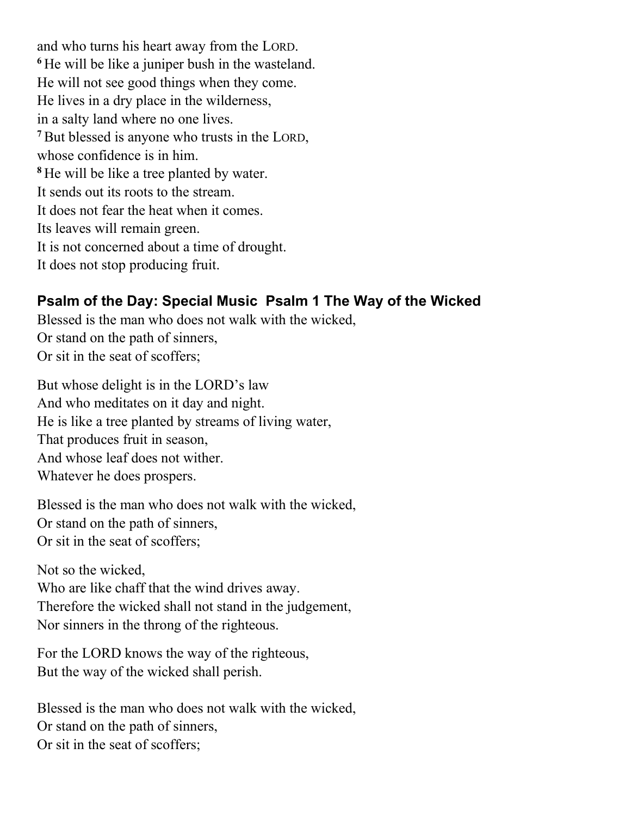and who turns his heart away from the LORD. **<sup>6</sup>** He will be like a juniper bush in the wasteland. He will not see good things when they come. He lives in a dry place in the wilderness, in a salty land where no one lives. **<sup>7</sup>**But blessed is anyone who trusts in the LORD, whose confidence is in him. **<sup>8</sup>** He will be like a tree planted by water. It sends out its roots to the stream. It does not fear the heat when it comes. Its leaves will remain green. It is not concerned about a time of drought. It does not stop producing fruit.

### **Psalm of the Day: Special Music Psalm 1 The Way of the Wicked**

Blessed is the man who does not walk with the wicked, Or stand on the path of sinners, Or sit in the seat of scoffers;

But whose delight is in the LORD's law And who meditates on it day and night. He is like a tree planted by streams of living water, That produces fruit in season, And whose leaf does not wither. Whatever he does prospers.

Blessed is the man who does not walk with the wicked, Or stand on the path of sinners, Or sit in the seat of scoffers;

Not so the wicked,

Who are like chaff that the wind drives away. Therefore the wicked shall not stand in the judgement, Nor sinners in the throng of the righteous.

For the LORD knows the way of the righteous, But the way of the wicked shall perish.

Blessed is the man who does not walk with the wicked, Or stand on the path of sinners, Or sit in the seat of scoffers;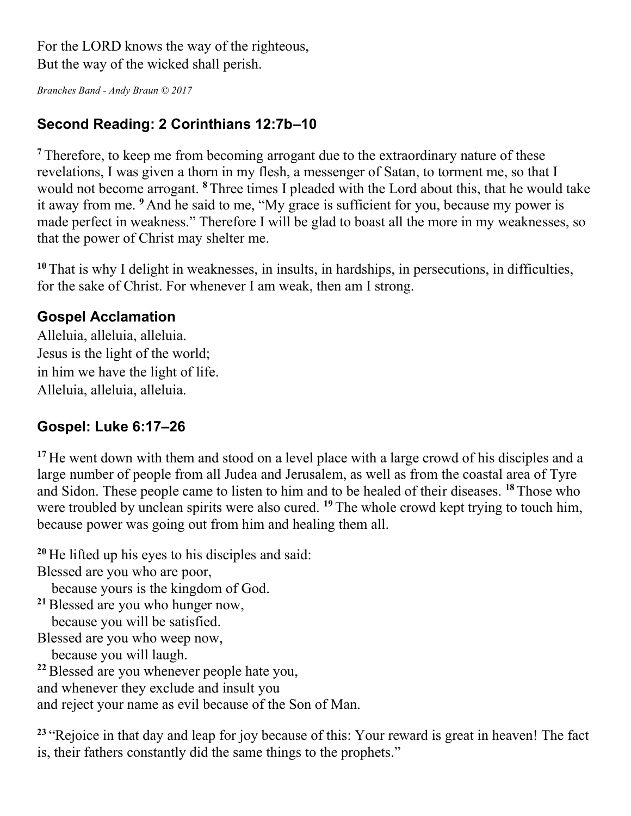For the LORD knows the way of the righteous, But the way of the wicked shall perish.

*Branches Band - Andy Braun © 2017*

### **Second Reading: 2 Corinthians 12:7b–10**

**<sup>7</sup>** Therefore, to keep me from becoming arrogant due to the extraordinary nature of these revelations, I was given a thorn in my flesh, a messenger of Satan, to torment me, so that I would not become arrogant. **<sup>8</sup>** Three times I pleaded with the Lord about this, that he would take it away from me. **<sup>9</sup>** And he said to me, "My grace is sufficient for you, because my power is made perfect in weakness." Therefore I will be glad to boast all the more in my weaknesses, so that the power of Christ may shelter me.

**<sup>10</sup>** That is why I delight in weaknesses, in insults, in hardships, in persecutions, in difficulties, for the sake of Christ. For whenever I am weak, then am I strong.

#### **Gospel Acclamation**

Alleluia, alleluia, alleluia. Jesus is the light of the world; in him we have the light of life. Alleluia, alleluia, alleluia.

#### **Gospel: Luke 6:17–26**

<sup>17</sup> He went down with them and stood on a level place with a large crowd of his disciples and a large number of people from all Judea and Jerusalem, as well as from the coastal area of Tyre and Sidon. These people came to listen to him and to be healed of their diseases. **<sup>18</sup>** Those who were troubled by unclean spirits were also cured. **<sup>19</sup>** The whole crowd kept trying to touch him, because power was going out from him and healing them all.

**<sup>20</sup>** He lifted up his eyes to his disciples and said:

Blessed are you who are poor,

because yours is the kingdom of God.

**<sup>21</sup>**Blessed are you who hunger now, because you will be satisfied.

Blessed are you who weep now,

because you will laugh.

**<sup>22</sup>**Blessed are you whenever people hate you,

and whenever they exclude and insult you

and reject your name as evil because of the Son of Man.

<sup>23</sup> "Rejoice in that day and leap for joy because of this: Your reward is great in heaven! The fact is, their fathers constantly did the same things to the prophets."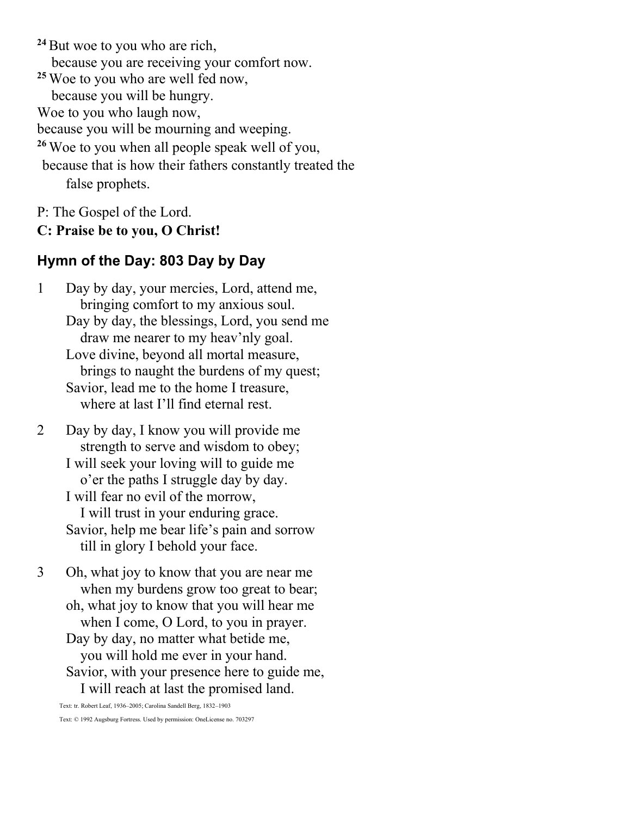<sup>24</sup> But woe to you who are rich, because you are receiving your comfort now. **<sup>25</sup>** Woe to you who are well fed now, because you will be hungry. Woe to you who laugh now, because you will be mourning and weeping. **<sup>26</sup>** Woe to you when all people speak well of you, because that is how their fathers constantly treated the false prophets.

P: The Gospel of the Lord.

#### **C: Praise be to you, O Christ!**

#### **Hymn of the Day: 803 Day by Day**

1 Day by day, your mercies, Lord, attend me, bringing comfort to my anxious soul. Day by day, the blessings, Lord, you send me draw me nearer to my heav'nly goal. Love divine, beyond all mortal measure, brings to naught the burdens of my quest; Savior, lead me to the home I treasure, where at last I'll find eternal rest.

2 Day by day, I know you will provide me strength to serve and wisdom to obey; I will seek your loving will to guide me o'er the paths I struggle day by day. I will fear no evil of the morrow, I will trust in your enduring grace. Savior, help me bear life's pain and sorrow till in glory I behold your face.

3 Oh, what joy to know that you are near me when my burdens grow too great to bear; oh, what joy to know that you will hear me when I come, O Lord, to you in prayer. Day by day, no matter what betide me, you will hold me ever in your hand. Savior, with your presence here to guide me, I will reach at last the promised land.

Text: tr. Robert Leaf, 1936–2005; Carolina Sandell Berg, 1832–1903 Text: © 1992 Augsburg Fortress. Used by permission: OneLicense no. 703297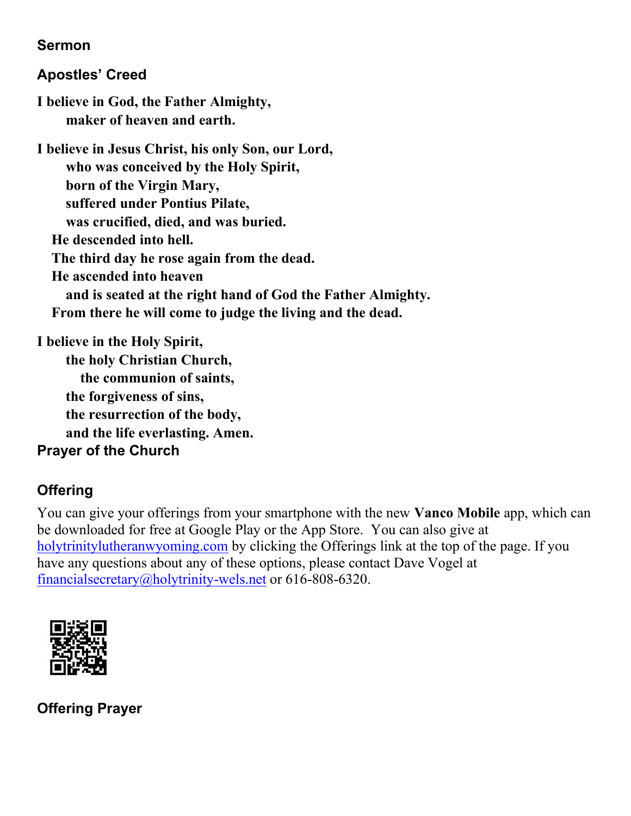#### **Sermon**

### **Apostles' Creed**

**I believe in God, the Father Almighty, maker of heaven and earth.**

**I believe in Jesus Christ, his only Son, our Lord, who was conceived by the Holy Spirit, born of the Virgin Mary, suffered under Pontius Pilate, was crucified, died, and was buried. He descended into hell. The third day he rose again from the dead. He ascended into heaven and is seated at the right hand of God the Father Almighty. From there he will come to judge the living and the dead.**

**I believe in the Holy Spirit, the holy Christian Church, the communion of saints, the forgiveness of sins,**

 **the resurrection of the body,** 

 **and the life everlasting. Amen.**

#### **Prayer of the Church**

# **Offering**

You can give your offerings from your smartphone with the new **Vanco Mobile** app, which can be downloaded for free at Google Play or the App Store. You can also give at [holytrinitylutheranwyoming.com](http://holytrinitylutheranwyoming.com/) by clicking the Offerings link at the top of the page. If you have any questions about any of these options, please contact Dave Vogel at [financialsecretary@holytrinity-wels.net](mailto:financialsecretary@holytrinity-wels.net) or 616-808-6320.



**Offering Prayer**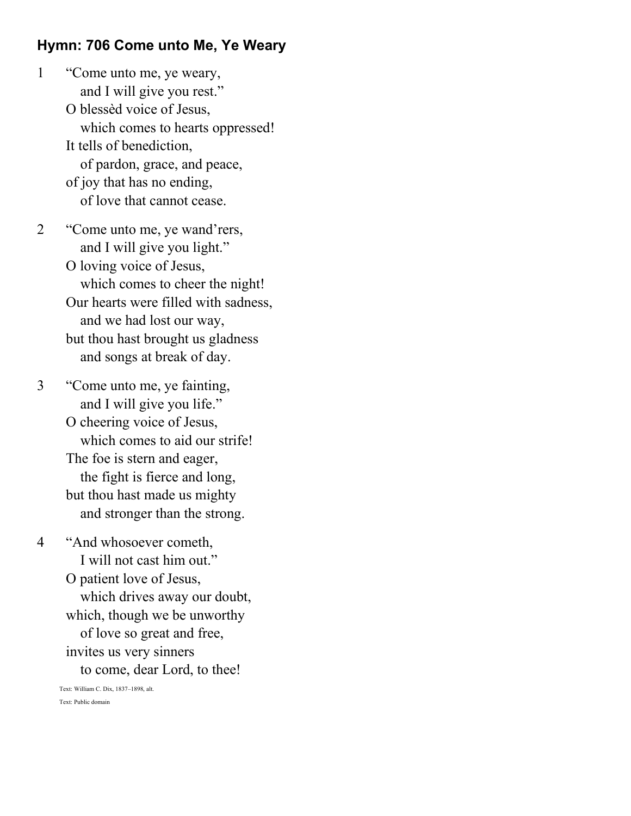#### **Hymn: 706 Come unto Me, Ye Weary**

- 1 "Come unto me, ye weary, and I will give you rest." O blessèd voice of Jesus, which comes to hearts oppressed! It tells of benediction, of pardon, grace, and peace, of joy that has no ending, of love that cannot cease.
- 2 "Come unto me, ye wand'rers, and I will give you light." O loving voice of Jesus, which comes to cheer the night! Our hearts were filled with sadness, and we had lost our way, but thou hast brought us gladness and songs at break of day.
- 3 "Come unto me, ye fainting, and I will give you life." O cheering voice of Jesus, which comes to aid our strife! The foe is stern and eager, the fight is fierce and long, but thou hast made us mighty and stronger than the strong.
- 4 "And whosoever cometh, I will not cast him out." O patient love of Jesus, which drives away our doubt, which, though we be unworthy of love so great and free, invites us very sinners to come, dear Lord, to thee! Text: William C. Dix, 1837–1898, alt.

Text: Public domain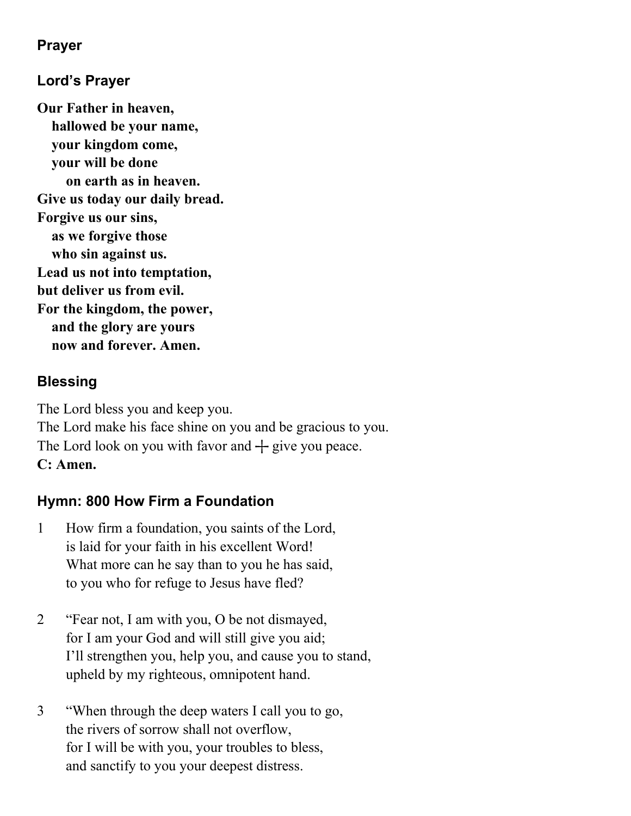### **Prayer**

### **Lord's Prayer**

**Our Father in heaven, hallowed be your name, your kingdom come, your will be done on earth as in heaven. Give us today our daily bread. Forgive us our sins, as we forgive those who sin against us. Lead us not into temptation, but deliver us from evil. For the kingdom, the power, and the glory are yours now and forever. Amen.**

#### **Blessing**

The Lord bless you and keep you. The Lord make his face shine on you and be gracious to you. The Lord look on you with favor and  $+$  give you peace. **C: Amen.**

#### **Hymn: 800 How Firm a Foundation**

- 1 How firm a foundation, you saints of the Lord, is laid for your faith in his excellent Word! What more can he say than to you he has said, to you who for refuge to Jesus have fled?
- 2 "Fear not, I am with you, O be not dismayed, for I am your God and will still give you aid; I'll strengthen you, help you, and cause you to stand, upheld by my righteous, omnipotent hand.
- 3 "When through the deep waters I call you to go, the rivers of sorrow shall not overflow, for I will be with you, your troubles to bless, and sanctify to you your deepest distress.